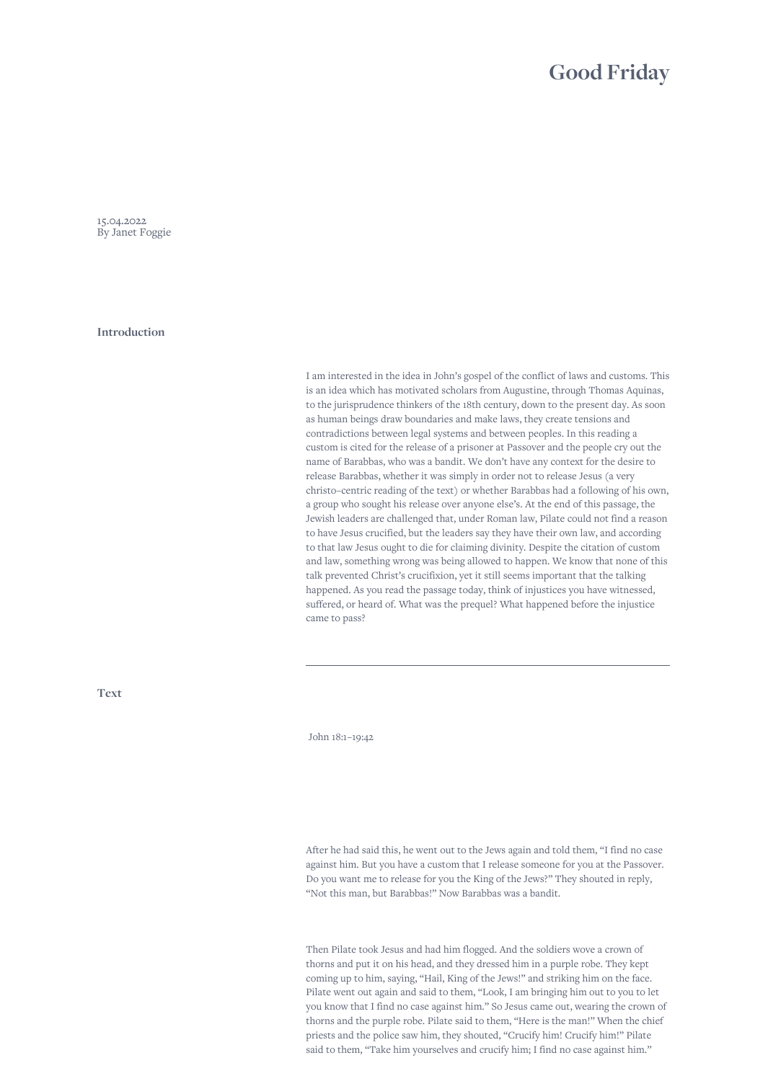## **Good Friday**

15.04.2022 By Janet Foggie

**Introduction**

I am interested in the idea in John's gospel of the conflict of laws and customs. This is an idea which has motivated scholars from Augustine, through Thomas Aquinas, to the jurisprudence thinkers of the 18th century, down to the present day. As soon as human beings draw boundaries and make laws, they create tensions and contradictions between legal systems and between peoples. In this reading a custom is cited for the release of a prisoner at Passover and the people cry out the name of Barabbas, who was a bandit. We don't have any context for the desire to release Barabbas, whether it was simply in order not to release Jesus (a very christo–centric reading of the text) or whether Barabbas had a following of his own, a group who sought his release over anyone else's. At the end of this passage, the Jewish leaders are challenged that, under Roman law, Pilate could not find a reason to have Jesus crucified, but the leaders say they have their own law, and according to that law Jesus ought to die for claiming divinity. Despite the citation of custom and law, something wrong was being allowed to happen. We know that none of this talk prevented Christ's crucifixion, yet it still seems important that the talking happened. As you read the passage today, think of injustices you have witnessed, suffered, or heard of. What was the prequel? What happened before the injustice came to pass?

**Text**

John 18:1–19:42

After he had said this, he went out to the Jews again and told them, "I find no case against him. But you have a custom that I release someone for you at the Passover. Do you want me to release for you the King of the Jews?" They shouted in reply, "Not this man, but Barabbas!" Now Barabbas was a bandit.

Then Pilate took Jesus and had him flogged. And the soldiers wove a crown of thorns and put it on his head, and they dressed him in a purple robe. They kept coming up to him, saying, "Hail, King of the Jews!" and striking him on the face. Pilate went out again and said to them, "Look, I am bringing him out to you to let you know that I find no case against him." So Jesus came out, wearing the crown of thorns and the purple robe. Pilate said to them, "Here is the man!" When the chief priests and the police saw him, they shouted, "Crucify him! Crucify him!" Pilate said to them, "Take him yourselves and crucify him; I find no case against him."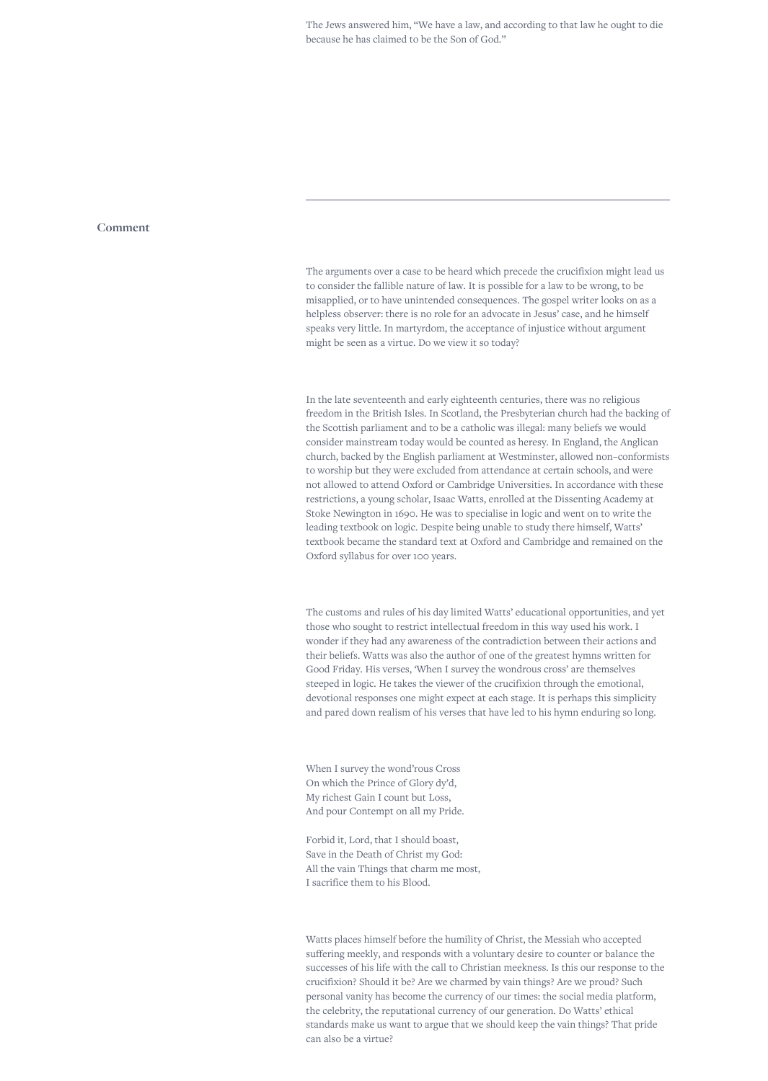## **Comment**

The arguments over a case to be heard which precede the crucifixion might lead us to consider the fallible nature of law. It is possible for a law to be wrong, to be misapplied, or to have unintended consequences. The gospel writer looks on as a helpless observer: there is no role for an advocate in Jesus' case, and he himself speaks very little. In martyrdom, the acceptance of injustice without argument might be seen as a virtue. Do we view it so today?

In the late seventeenth and early eighteenth centuries, there was no religious freedom in the British Isles. In Scotland, the Presbyterian church had the backing of the Scottish parliament and to be a catholic was illegal: many beliefs we would consider mainstream today would be counted as heresy. In England, the Anglican church, backed by the English parliament at Westminster, allowed non–conformists to worship but they were excluded from attendance at certain schools, and were not allowed to attend Oxford or Cambridge Universities. In accordance with these restrictions, a young scholar, Isaac Watts, enrolled at the Dissenting Academy at Stoke Newington in 1690. He was to specialise in logic and went on to write the leading textbook on logic. Despite being unable to study there himself, Watts' textbook became the standard text at Oxford and Cambridge and remained on the Oxford syllabus for over 100 years.

The customs and rules of his day limited Watts' educational opportunities, and yet those who sought to restrict intellectual freedom in this way used his work. I wonder if they had any awareness of the contradiction between their actions and their beliefs. Watts was also the author of one of the greatest hymns written for Good Friday. His verses, 'When I survey the wondrous cross' are themselves steeped in logic. He takes the viewer of the crucifixion through the emotional, devotional responses one might expect at each stage. It is perhaps this simplicity and pared down realism of his verses that have led to his hymn enduring so long.

When I survey the wond'rous Cross On which the Prince of Glory dy'd, My richest Gain I count but Loss, And pour Contempt on all my Pride.

Forbid it, Lord, that I should boast, Save in the Death of Christ my God: All the vain Things that charm me most, I sacrifice them to his Blood.

Watts places himself before the humility of Christ, the Messiah who accepted suffering meekly, and responds with a voluntary desire to counter or balance the successes of his life with the call to Christian meekness. Is this our response to the crucifixion? Should it be? Are we charmed by vain things? Are we proud? Such personal vanity has become the currency of our times: the social media platform, the celebrity, the reputational currency of our generation. Do Watts' ethical standards make us want to argue that we should keep the vain things? That pride can also be a virtue?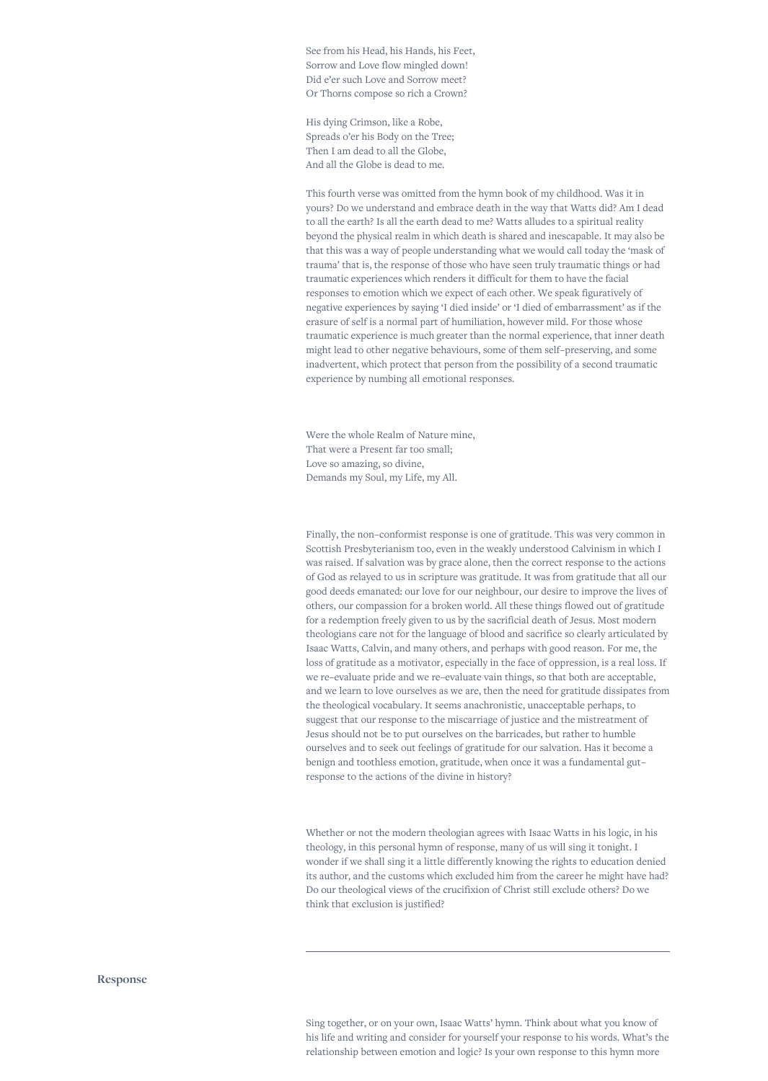See from his Head, his Hands, his Feet, Sorrow and Love flow mingled down! Did e'er such Love and Sorrow meet? Or Thorns compose so rich a Crown?

His dying Crimson, like a Robe, Spreads o'er his Body on the Tree; Then I am dead to all the Globe, And all the Globe is dead to me.

This fourth verse was omitted from the hymn book of my childhood. Was it in yours? Do we understand and embrace death in the way that Watts did? Am I dead to all the earth? Is all the earth dead to me? Watts alludes to a spiritual reality beyond the physical realm in which death is shared and inescapable. It may also be that this was a way of people understanding what we would call today the 'mask of trauma' that is, the response of those who have seen truly traumatic things or had traumatic experiences which renders it difficult for them to have the facial responses to emotion which we expect of each other. We speak figuratively of negative experiences by saying 'I died inside' or 'I died of embarrassment' as if the erasure of self is a normal part of humiliation, however mild. For those whose traumatic experience is much greater than the normal experience, that inner death might lead to other negative behaviours, some of them self–preserving, and some inadvertent, which protect that person from the possibility of a second traumatic experience by numbing all emotional responses.

Were the whole Realm of Nature mine, That were a Present far too small; Love so amazing, so divine, Demands my Soul, my Life, my All.

Finally, the non–conformist response is one of gratitude. This was very common in Scottish Presbyterianism too, even in the weakly understood Calvinism in which I was raised. If salvation was by grace alone, then the correct response to the actions of God as relayed to us in scripture was gratitude. It was from gratitude that all our good deeds emanated: our love for our neighbour, our desire to improve the lives of others, our compassion for a broken world. All these things flowed out of gratitude for a redemption freely given to us by the sacrificial death of Jesus. Most modern theologians care not for the language of blood and sacrifice so clearly articulated by Isaac Watts, Calvin, and many others, and perhaps with good reason. For me, the loss of gratitude as a motivator, especially in the face of oppression, is a real loss. If we re–evaluate pride and we re–evaluate vain things, so that both are acceptable, and we learn to love ourselves as we are, then the need for gratitude dissipates from the theological vocabulary. It seems anachronistic, unacceptable perhaps, to suggest that our response to the miscarriage of justice and the mistreatment of Jesus should not be to put ourselves on the barricades, but rather to humble ourselves and to seek out feelings of gratitude for our salvation. Has it become a benign and toothless emotion, gratitude, when once it was a fundamental gut– response to the actions of the divine in history?

Whether or not the modern theologian agrees with Isaac Watts in his logic, in his theology, in this personal hymn of response, many of us will sing it tonight. I wonder if we shall sing it a little differently knowing the rights to education denied its author, and the customs which excluded him from the career he might have had? Do our theological views of the crucifixion of Christ still exclude others? Do we think that exclusion is justified?

Sing together, or on your own, Isaac Watts' hymn. Think about what you know of his life and writing and consider for yourself your response to his words. What's the relationship between emotion and logic? Is your own response to this hymn more